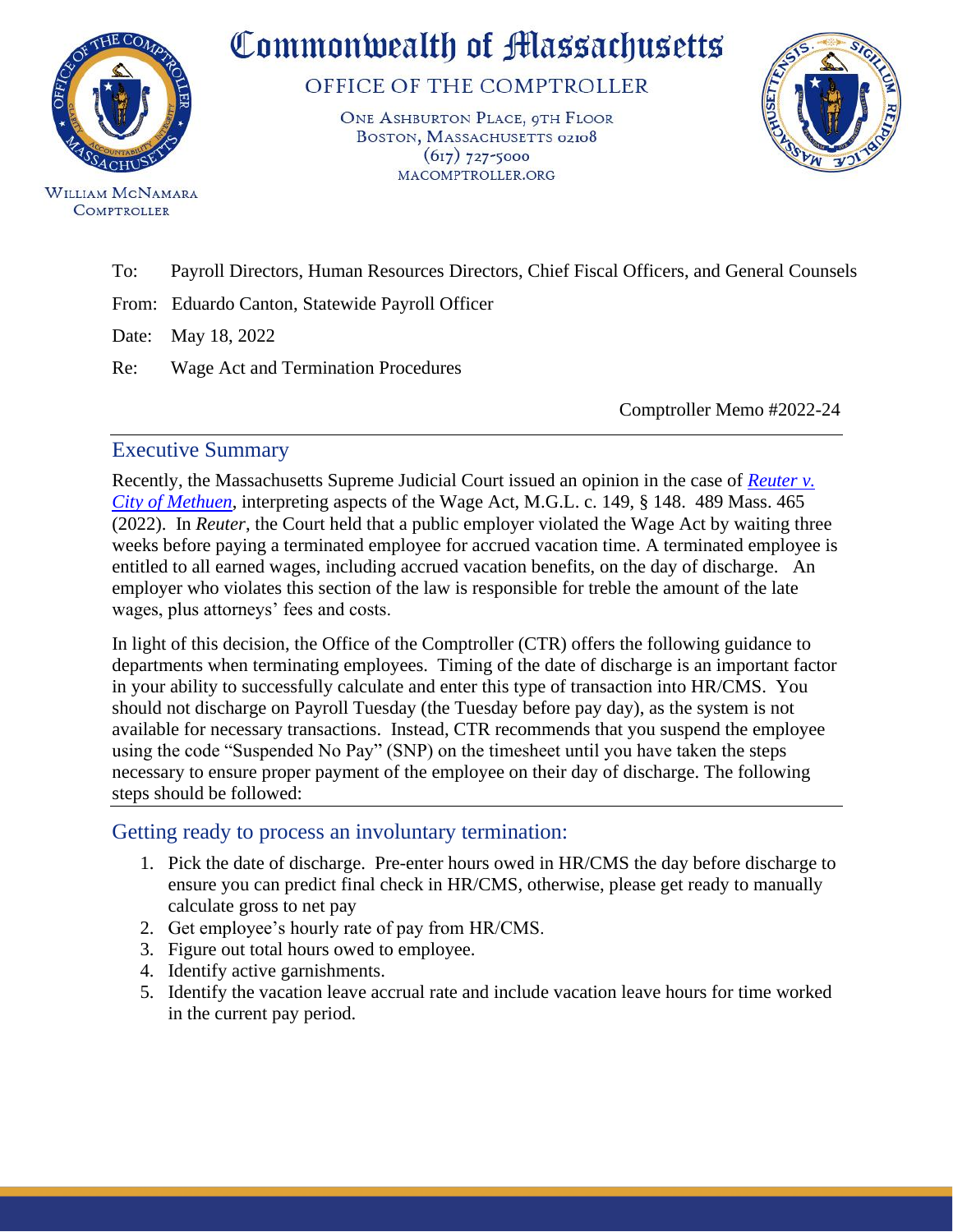

WILLIAM MCNAMARA **COMPTROLLER** 

Commonwealth of Massachusetts

OFFICE OF THE COMPTROLLER

ONE ASHBURTON PLACE, 9TH FLOOR BOSTON, MASSACHUSETTS 02108  $(617)$  727-5000 MACOMPTROLLER.ORG



To:Payroll Directors, Human Resources Directors, Chief Fiscal Officers, and General Counsels

From: Eduardo Canton, Statewide Payroll Officer

Date: May 18, 2022

Re: Wage Act and Termination Procedures

Comptroller Memo #2022-24

## Executive Summary

Recently, the Massachusetts Supreme Judicial Court issued an opinion in the case of *[Reuter v.](https://www.mass.gov/files/documents/2022/04/04/y13121.pdf)  [City of Methuen](https://www.mass.gov/files/documents/2022/04/04/y13121.pdf)*, interpreting aspects of the Wage Act, M.G.L. c. 149, § 148. 489 Mass. 465 (2022). In *Reuter*, the Court held that a public employer violated the Wage Act by waiting three weeks before paying a terminated employee for accrued vacation time. A terminated employee is entitled to all earned wages, including accrued vacation benefits, on the day of discharge. An employer who violates this section of the law is responsible for treble the amount of the late wages, plus attorneys' fees and costs.

In light of this decision, the Office of the Comptroller (CTR) offers the following guidance to departments when terminating employees. Timing of the date of discharge is an important factor in your ability to successfully calculate and enter this type of transaction into HR/CMS. You should not discharge on Payroll Tuesday (the Tuesday before pay day), as the system is not available for necessary transactions. Instead, CTR recommends that you suspend the employee using the code "Suspended No Pay" (SNP) on the timesheet until you have taken the steps necessary to ensure proper payment of the employee on their day of discharge. The following steps should be followed:

## Getting ready to process an involuntary termination:

- 1. Pick the date of discharge. Pre-enter hours owed in HR/CMS the day before discharge to ensure you can predict final check in HR/CMS, otherwise, please get ready to manually calculate gross to net pay
- 2. Get employee's hourly rate of pay from HR/CMS.
- 3. Figure out total hours owed to employee.
- 4. Identify active garnishments.
- 5. Identify the vacation leave accrual rate and include vacation leave hours for time worked in the current pay period.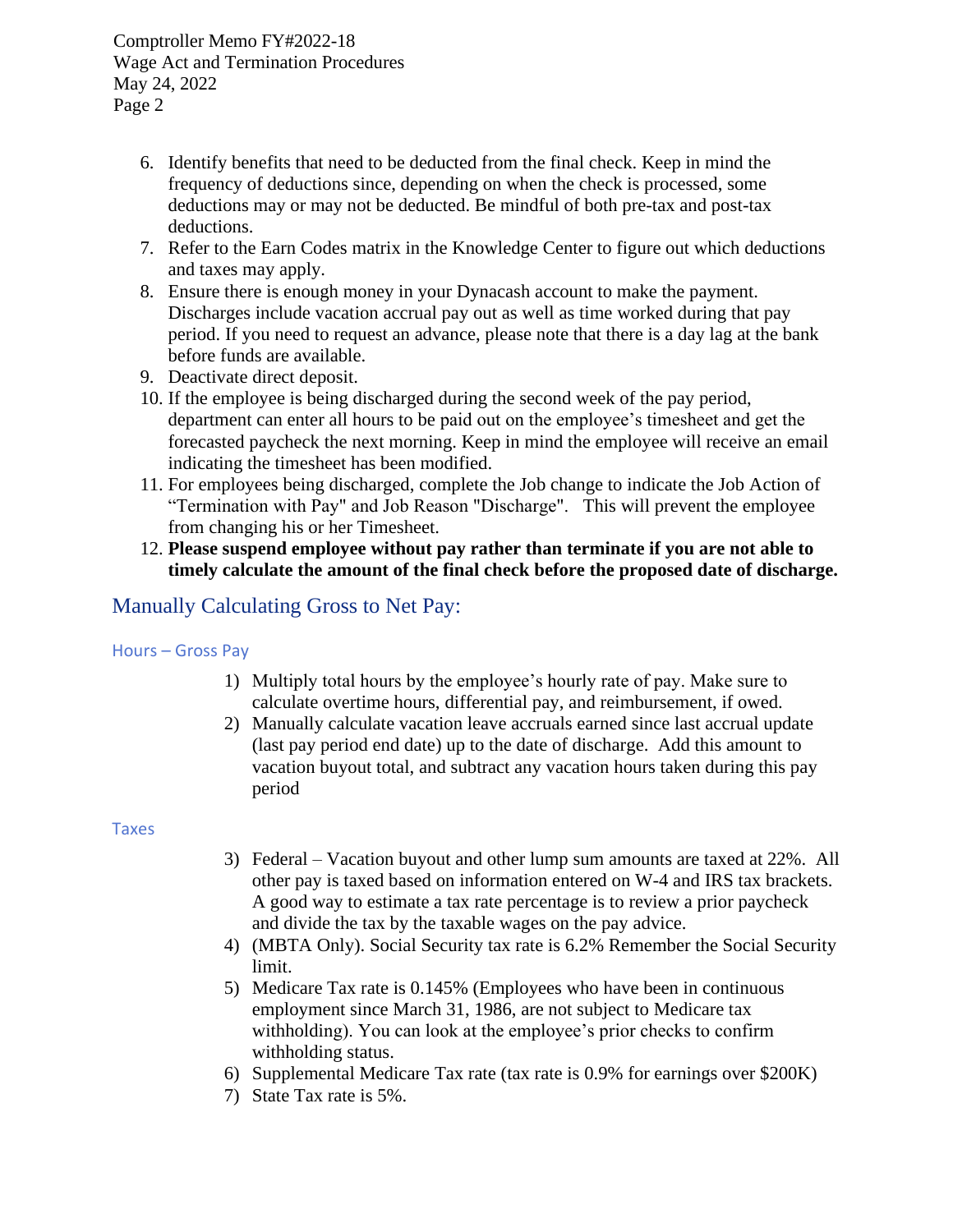Comptroller Memo FY#2022-18 Wage Act and Termination Procedures May 24, 2022 Page 2

- 6. Identify benefits that need to be deducted from the final check. Keep in mind the frequency of deductions since, depending on when the check is processed, some deductions may or may not be deducted. Be mindful of both pre-tax and post-tax deductions.
- 7. Refer to the Earn Codes matrix in the Knowledge Center to figure out which deductions and taxes may apply.
- 8. Ensure there is enough money in your Dynacash account to make the payment. Discharges include vacation accrual pay out as well as time worked during that pay period. If you need to request an advance, please note that there is a day lag at the bank before funds are available.
- 9. Deactivate direct deposit.
- 10. If the employee is being discharged during the second week of the pay period, department can enter all hours to be paid out on the employee's timesheet and get the forecasted paycheck the next morning. Keep in mind the employee will receive an email indicating the timesheet has been modified.
- 11. For employees being discharged, complete the Job change to indicate the Job Action of "Termination with Pay" and Job Reason "Discharge". This will prevent the employee from changing his or her Timesheet.
- 12. **Please suspend employee without pay rather than terminate if you are not able to timely calculate the amount of the final check before the proposed date of discharge.**

# Manually Calculating Gross to Net Pay:

#### Hours – Gross Pay

- 1) Multiply total hours by the employee's hourly rate of pay. Make sure to calculate overtime hours, differential pay, and reimbursement, if owed.
- 2) Manually calculate vacation leave accruals earned since last accrual update (last pay period end date) up to the date of discharge. Add this amount to vacation buyout total, and subtract any vacation hours taken during this pay period

#### Taxes

- 3) Federal Vacation buyout and other lump sum amounts are taxed at 22%. All other pay is taxed based on information entered on W-4 and IRS tax brackets. A good way to estimate a tax rate percentage is to review a prior paycheck and divide the tax by the taxable wages on the pay advice.
- 4) (MBTA Only). Social Security tax rate is 6.2% Remember the Social Security limit.
- 5) Medicare Tax rate is 0.145% (Employees who have been in continuous employment since March 31, 1986, are not subject to Medicare tax withholding). You can look at the employee's prior checks to confirm withholding status.
- 6) Supplemental Medicare Tax rate (tax rate is 0.9% for earnings over \$200K)
- 7) State Tax rate is 5%.